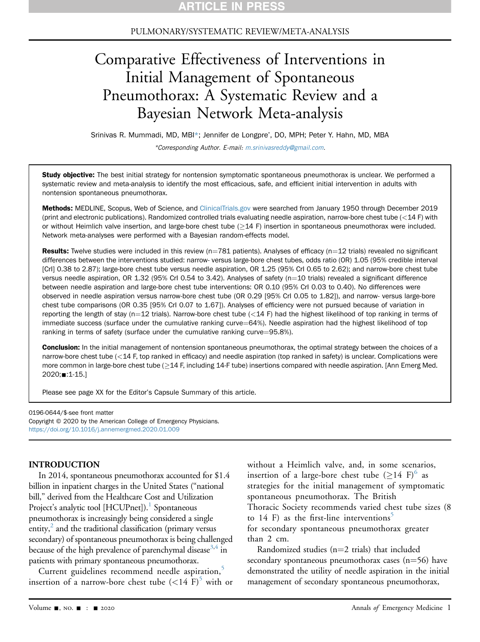### PULMONARY/SYSTEMATIC REVIEW/META-ANALYSIS

# Comparative Effectiveness of Interventions in Initial Management of Spontaneous Pneumothorax: A Systematic Review and a Bayesian Network Meta-analysis

Srinivas R. Mummadi, MD, MBI\*; Jennifer de Longpre', DO, MPH; Peter Y. Hahn, MD, MBA

\*Corresponding Author. E-mail: [m.srinivasreddy@gmail.com](mailto:m.srinivasreddy@gmail.com).

Study objective: The best initial strategy for nontension symptomatic spontaneous pneumothorax is unclear. We performed a systematic review and meta-analysis to identify the most efficacious, safe, and efficient initial intervention in adults with nontension spontaneous pneumothorax.

Methods: MEDLINE, Scopus, Web of Science, and [ClinicalTrials.gov](http://ClinicalTrials.gov) were searched from January 1950 through December 2019 (print and electronic publications). Randomized controlled trials evaluating needle aspiration, narrow-bore chest tube (<14 F) with or without Heimlich valve insertion, and large-bore chest tube  $(\geq 14$  F) insertion in spontaneous pneumothorax were included. Network meta-analyses were performed with a Bayesian random-effects model.

Results: Twelve studies were included in this review ( $n=781$  patients). Analyses of efficacy ( $n=12$  trials) revealed no significant differences between the interventions studied: narrow- versus large-bore chest tubes, odds ratio (OR) 1.05 (95% credible interval [CrI] 0.38 to 2.87); large-bore chest tube versus needle aspiration, OR 1.25 (95% CrI 0.65 to 2.62); and narrow-bore chest tube versus needle aspiration, OR 1.32 (95% CrI 0.54 to 3.42). Analyses of safety ( $n=10$  trials) revealed a significant difference between needle aspiration and large-bore chest tube interventions: OR 0.10 (95% CrI 0.03 to 0.40). No differences were observed in needle aspiration versus narrow-bore chest tube (OR 0.29 [95% CrI 0.05 to 1.82]), and narrow- versus large-bore chest tube comparisons (OR 0.35 [95% CrI 0.07 to 1.67]). Analyses of efficiency were not pursued because of variation in reporting the length of stay (n=12 trials). Narrow-bore chest tube (<14 F) had the highest likelihood of top ranking in terms of immediate success (surface under the cumulative ranking curve=64%). Needle aspiration had the highest likelihood of top ranking in terms of safety (surface under the cumulative ranking curve=95.8%).

Conclusion: In the initial management of nontension spontaneous pneumothorax, the optimal strategy between the choices of a narrow-bore chest tube (<14 F, top ranked in efficacy) and needle aspiration (top ranked in safety) is unclear. Complications were more common in large-bore chest tube  $(214$  F, including 14-F tube) insertions compared with needle aspiration. [Ann Emerg Med. 2020;**■**:1-15.]

Please see page XX for the Editor's Capsule Summary of this article.

0196-0644/\$-see front matter Copyright © 2020 by the American College of Emergency Physicians. <https://doi.org/10.1016/j.annemergmed.2020.01.009>

#### INTRODUCTION

In 2014, spontaneous pneumothorax accounted for \$1.4 billion in inpatient charges in the United States ("national bill," derived from the Healthcare Cost and Utilization Project's analytic tool [HCUPnet]).<sup>[1](#page-13-0)</sup> Spontaneous pneumothorax is increasingly being considered a single entity, $\frac{2}{3}$  and the traditional classification (primary versus secondary) of spontaneous pneumothorax is being challenged because of the high prevalence of parenchymal disease<sup>[3,](#page-13-2)[4](#page-13-3)</sup> in patients with primary spontaneous pneumothorax.

Current guidelines recommend needle aspiration,<sup>[5](#page-13-4)</sup> insertion of a narrow-bore chest tube  $(<14 \text{ F})^5$  $(<14 \text{ F})^5$  with or

without a Heimlich valve, and, in some scenarios, insertion of a large-bore chest tube  $(\geq)14$  F)<sup>[6](#page-13-5)</sup> as strategies for the initial management of symptomatic spontaneous pneumothorax. The British Thoracic Society recommends varied chest tube sizes (8 to 14 F) as the first-line interventions<sup>[5](#page-13-4)</sup> for secondary spontaneous pneumothorax greater than 2 cm.

Randomized studies ( $n=2$  trials) that included secondary spontaneous pneumothorax cases  $(n=56)$  have demonstrated the utility of needle aspiration in the initial management of secondary spontaneous pneumothorax,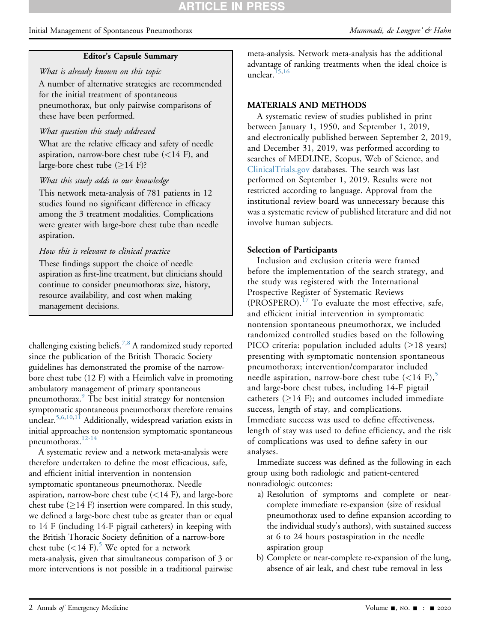#### Initial Management of Spontaneous Pneumothorax and the settlement of Spontaneous Pneumothorax Mummadi, de Longpre' & Hahn

### Editor's Capsule Summary

What is already known on this topic A number of alternative strategies are recommended for the initial treatment of spontaneous pneumothorax, but only pairwise comparisons of these have been performed.

#### What question this study addressed

What are the relative efficacy and safety of needle aspiration, narrow-bore chest tube  $(<14$  F), and large-bore chest tube  $(>14 \text{ F})$ ?

#### What this study adds to our knowledge

This network meta-analysis of 781 patients in 12 studies found no significant difference in efficacy among the 3 treatment modalities. Complications were greater with large-bore chest tube than needle aspiration.

### How this is relevant to clinical practice

These findings support the choice of needle aspiration as first-line treatment, but clinicians should continue to consider pneumothorax size, history, resource availability, and cost when making management decisions.

challenging existing beliefs.<sup>[7,](#page-13-6)[8](#page-13-7)</sup> A randomized study reported since the publication of the British Thoracic Society guidelines has demonstrated the promise of the narrowbore chest tube (12 F) with a Heimlich valve in promoting ambulatory management of primary spontaneous pneumothorax.<sup>9</sup> The best initial strategy for nontension symptomatic spontaneous pneumothorax therefore remains unclear.<sup>[5](#page-13-4)[,6](#page-13-5),[10,](#page-13-9)[11](#page-13-10)</sup> Additionally, widespread variation exists in initial approaches to nontension symptomatic spontaneous pneumothorax.<sup>12-14</sup>

A systematic review and a network meta-analysis were therefore undertaken to define the most efficacious, safe, and efficient initial intervention in nontension symptomatic spontaneous pneumothorax. Needle aspiration, narrow-bore chest tube  $(<14 \text{ F})$ , and large-bore chest tube  $(\geq)$  insertion were compared. In this study, we defined a large-bore chest tube as greater than or equal to 14 F (including 14-F pigtail catheters) in keeping with the British Thoracic Society definition of a narrow-bore chest tube  $(<14 \text{ F})$ .<sup>5</sup> We opted for a network meta-analysis, given that simultaneous comparison of 3 or more interventions is not possible in a traditional pairwise

meta-analysis. Network meta-analysis has the additional advantage of ranking treatments when the ideal choice is unclear. $15,16$  $15,16$ 

#### MATERIALS AND METHODS

A systematic review of studies published in print between January 1, 1950, and September 1, 2019, and electronically published between September 2, 2019, and December 31, 2019, was performed according to searches of MEDLINE, Scopus, Web of Science, and [ClinicalTrials.gov](http://ClinicalTrials.gov) databases. The search was last performed on September 1, 2019. Results were not restricted according to language. Approval from the institutional review board was unnecessary because this was a systematic review of published literature and did not involve human subjects.

#### Selection of Participants

Inclusion and exclusion criteria were framed before the implementation of the search strategy, and the study was registered with the International Prospective Register of Systematic Reviews  $(PROSPERO).<sup>17</sup>$  $(PROSPERO).<sup>17</sup>$  $(PROSPERO).<sup>17</sup>$  To evaluate the most effective, safe, and efficient initial intervention in symptomatic nontension spontaneous pneumothorax, we included randomized controlled studies based on the following PICO criteria: population included adults  $(≥18$  years) presenting with symptomatic nontension spontaneous pneumothorax; intervention/comparator included needle aspiration, narrow-bore chest tube  $(<14 \text{ F})$ ,<sup>[5](#page-13-4)</sup> and large-bore chest tubes, including 14-F pigtail catheters ( $\geq$ 14 F); and outcomes included immediate success, length of stay, and complications. Immediate success was used to define effectiveness, length of stay was used to define efficiency, and the risk of complications was used to define safety in our analyses.

Immediate success was defined as the following in each group using both radiologic and patient-centered nonradiologic outcomes:

- a) Resolution of symptoms and complete or nearcomplete immediate re-expansion (size of residual pneumothorax used to define expansion according to the individual study's authors), with sustained success at 6 to 24 hours postaspiration in the needle aspiration group
- b) Complete or near-complete re-expansion of the lung, absence of air leak, and chest tube removal in less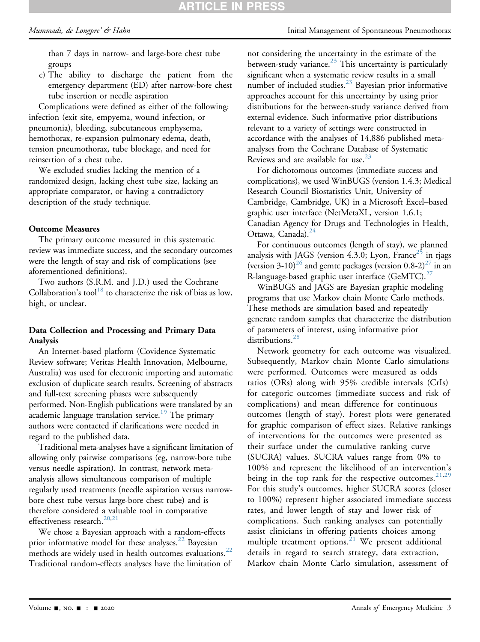### Mummadi, de Longpre' & Hahn Initial Management of Spontaneous Pneumothorax

than 7 days in narrow- and large-bore chest tube groups

c) The ability to discharge the patient from the emergency department (ED) after narrow-bore chest tube insertion or needle aspiration

Complications were defined as either of the following: infection (exit site, empyema, wound infection, or pneumonia), bleeding, subcutaneous emphysema, hemothorax, re-expansion pulmonary edema, death, tension pneumothorax, tube blockage, and need for reinsertion of a chest tube.

We excluded studies lacking the mention of a randomized design, lacking chest tube size, lacking an appropriate comparator, or having a contradictory description of the study technique.

#### Outcome Measures

The primary outcome measured in this systematic review was immediate success, and the secondary outcomes were the length of stay and risk of complications (see aforementioned definitions).

Two authors (S.R.M. and J.D.) used the Cochrane Collaboration's tool<sup>18</sup> to characterize the risk of bias as low, high, or unclear.

### Data Collection and Processing and Primary Data Analysis

An Internet-based platform (Covidence Systematic Review software; Veritas Health Innovation, Melbourne, Australia) was used for electronic importing and automatic exclusion of duplicate search results. Screening of abstracts and full-text screening phases were subsequently performed. Non-English publications were translated by an academic language translation service.<sup>[19](#page-13-16)</sup> The primary authors were contacted if clarifications were needed in regard to the published data.

Traditional meta-analyses have a significant limitation of allowing only pairwise comparisons (eg, narrow-bore tube versus needle aspiration). In contrast, network metaanalysis allows simultaneous comparison of multiple regularly used treatments (needle aspiration versus narrowbore chest tube versus large-bore chest tube) and is therefore considered a valuable tool in comparative effectiveness research.<sup>20[,21](#page-13-18)</sup>

We chose a Bayesian approach with a random-effects prior informative model for these analyses.<sup>[22](#page-13-19)</sup> Bayesian methods are widely used in health outcomes evaluations. $^{22}$ Traditional random-effects analyses have the limitation of

not considering the uncertainty in the estimate of the between-study variance.<sup>[23](#page-13-20)</sup> This uncertainty is particularly significant when a systematic review results in a small number of included studies.<sup>23</sup> Bayesian prior informative approaches account for this uncertainty by using prior distributions for the between-study variance derived from external evidence. Such informative prior distributions relevant to a variety of settings were constructed in accordance with the analyses of 14,886 published metaanalyses from the Cochrane Database of Systematic Reviews and are available for use. $^{23}$  $^{23}$  $^{23}$ 

For dichotomous outcomes (immediate success and complications), we used WinBUGS (version 1.4.3; Medical Research Council Biostatistics Unit, University of Cambridge, Cambridge, UK) in a Microsoft Excel–based graphic user interface (NetMetaXL, version 1.6.1; Canadian Agency for Drugs and Technologies in Health, Ottawa, Canada).<sup>[24](#page-13-21)</sup>

For continuous outcomes (length of stay), we planned analysis with JAGS (version 4.3.0; Lyon, France<sup>[25](#page-13-22)</sup> in rjags (version 3-10)<sup>[26](#page-13-23)</sup> and gemtc packages (version 0.8-2)<sup>27</sup> in an R-language-based graphic user interface (GeMTC). $27$ 

WinBUGS and JAGS are Bayesian graphic modeling programs that use Markov chain Monte Carlo methods. These methods are simulation based and repeatedly generate random samples that characterize the distribution of parameters of interest, using informative prior distributions.<sup>28</sup>

Network geometry for each outcome was visualized. Subsequently, Markov chain Monte Carlo simulations were performed. Outcomes were measured as odds ratios (ORs) along with 95% credible intervals (CrIs) for categoric outcomes (immediate success and risk of complications) and mean difference for continuous outcomes (length of stay). Forest plots were generated for graphic comparison of effect sizes. Relative rankings of interventions for the outcomes were presented as their surface under the cumulative ranking curve (SUCRA) values. SUCRA values range from 0% to 100% and represent the likelihood of an intervention's being in the top rank for the respective outcomes.  $21,29$  $21,29$  $21,29$ For this study's outcomes, higher SUCRA scores (closer to 100%) represent higher associated immediate success rates, and lower length of stay and lower risk of complications. Such ranking analyses can potentially assist clinicians in offering patients choices among multiple treatment options.<sup>[21](#page-13-18)</sup> We present additional details in regard to search strategy, data extraction, Markov chain Monte Carlo simulation, assessment of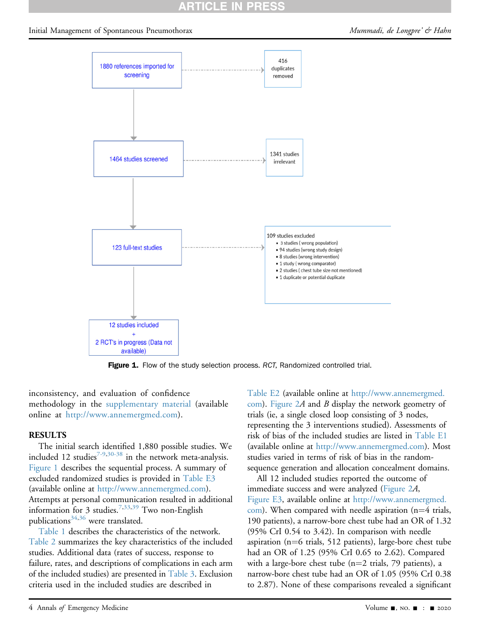## RTICLE IN PRES

#### <span id="page-3-0"></span>Initial Management of Spontaneous Pneumothorax and the settlement of Spontaneous Pneumothorax Mummadi, de Longpre' & Hahn



Figure 1. Flow of the study selection process. RCT, Randomized controlled trial.

inconsistency, and evaluation of confidence methodology in the supplementary material (available online at [http://www.annemergmed.com\)](http://www.annemergmed.com).

#### RESULTS

The initial search identified 1,880 possible studies. We included 12 studies $7-9,30-38$  $7-9,30-38$  in the network meta-analysis. [Figure 1](#page-3-0) describes the sequential process. A summary of excluded randomized studies is provided in Table E3 (available online at [http://www.annemergmed.com\)](http://www.annemergmed.com). Attempts at personal communication resulted in additional information for 3 studies.<sup>[7,](#page-13-6)[33,](#page-13-28)[39](#page-14-0)</sup> Two non-English publications<sup>34[,36](#page-13-30)</sup> were translated.

[Table 1](#page-4-0) describes the characteristics of the network. [Table 2](#page-5-0) summarizes the key characteristics of the included studies. Additional data (rates of success, response to failure, rates, and descriptions of complications in each arm of the included studies) are presented in [Table 3](#page-8-0). Exclusion criteria used in the included studies are described in

Table E2 (available online at [http://www.annemergmed.](http://www.annemergmed.com) [com\)](http://www.annemergmed.com). [Figure 2](#page-10-0)A and B display the network geometry of trials (ie, a single closed loop consisting of 3 nodes, representing the 3 interventions studied). Assessments of risk of bias of the included studies are listed in Table E1 (available online at <http://www.annemergmed.com>). Most studies varied in terms of risk of bias in the randomsequence generation and allocation concealment domains.

All 12 included studies reported the outcome of immediate success and were analyzed [\(Figure 2](#page-10-0)A, Figure E3, available online at [http://www.annemergmed.](http://www.annemergmed.com)  $com$ ). When compared with needle aspiration (n=4 trials, 190 patients), a narrow-bore chest tube had an OR of 1.32 (95% CrI 0.54 to 3.42). In comparison with needle aspiration ( $n=6$  trials, 512 patients), large-bore chest tube had an OR of 1.25 (95% CrI 0.65 to 2.62). Compared with a large-bore chest tube ( $n=2$  trials, 79 patients), a narrow-bore chest tube had an OR of 1.05 (95% CrI 0.38 to 2.87). None of these comparisons revealed a significant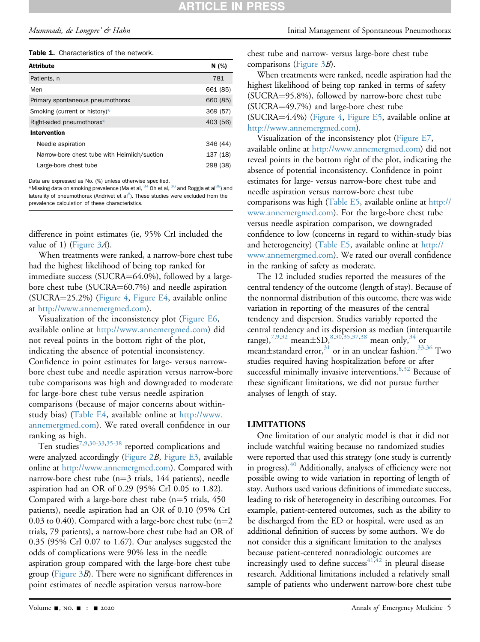Table 1. Characteristics of the network.

| <b>Attribute</b>                             | N $(\%)$ |
|----------------------------------------------|----------|
| Patients, n                                  | 781      |
| Men                                          | 661 (85) |
| Primary spontaneous pneumothorax             | 660 (85) |
| Smoking (current or history)*                | 369 (57) |
| Right-sided pneumothorax*                    | 403 (56) |
| Intervention                                 |          |
| Needle aspiration                            | 346 (44) |
| Narrow-bore chest tube with Heimlich/suction | 137 (18) |
| Large-bore chest tube                        | 298 (38) |
|                                              |          |

<span id="page-4-0"></span>Data are expressed as No. (%) unless otherwise specified.

<span id="page-4-1"></span> $^{\star}$ Missing data on smoking prevalence (Ma et al,  $^{34}$  $^{34}$  $^{34}$  Oh et al,  $^{36}$  $^{36}$  $^{36}$  and Roggla et al $^{38})$  and laterality of pneumothorax (Andrivet et al<sup>[8](#page-13-7)</sup>). These studies were excluded from the prevalence calculation of these characteristics.

difference in point estimates (ie, 95% CrI included the value of 1) [\(Figure 3](#page-10-1)A).

When treatments were ranked, a narrow-bore chest tube had the highest likelihood of being top ranked for immediate success (SUCRA $=64.0\%$ ), followed by a largebore chest tube (SUCRA=60.7%) and needle aspiration  $(SUCRA=25.2%)$  [\(Figure 4](#page-11-0), Figure E4, available online at <http://www.annemergmed.com>).

Visualization of the inconsistency plot (Figure E6, available online at <http://www.annemergmed.com>) did not reveal points in the bottom right of the plot, indicating the absence of potential inconsistency. Confidence in point estimates for large- versus narrowbore chest tube and needle aspiration versus narrow-bore tube comparisons was high and downgraded to moderate for large-bore chest tube versus needle aspiration comparisons (because of major concerns about withinstudy bias) (Table E4, available online at [http://www.](http://www.annemergmed.com) [annemergmed.com](http://www.annemergmed.com)). We rated overall confidence in our ranking as high.

Ten studies[7](#page-13-6)[,9,](#page-13-8)[30-33,](#page-13-27)[35-38](#page-13-31) reported complications and were analyzed accordingly ([Figure 2](#page-10-0)B, Figure E3, available online at [http://www.annemergmed.com\)](http://www.annemergmed.com). Compared with narrow-bore chest tube ( $n=3$  trials, 144 patients), needle aspiration had an OR of 0.29 (95% CrI 0.05 to 1.82). Compared with a large-bore chest tube  $(n=5 \text{ trials}, 450 \text{ miles})$ patients), needle aspiration had an OR of 0.10 (95% CrI 0.03 to 0.40). Compared with a large-bore chest tube  $(n=2)$ trials, 79 patients), a narrow-bore chest tube had an OR of 0.35 (95% CrI 0.07 to 1.67). Our analyses suggested the odds of complications were 90% less in the needle aspiration group compared with the large-bore chest tube group [\(Figure 3](#page-10-1)B). There were no significant differences in point estimates of needle aspiration versus narrow-bore

chest tube and narrow- versus large-bore chest tube comparisons ([Figure 3](#page-10-1)*B*).

When treatments were ranked, needle aspiration had the highest likelihood of being top ranked in terms of safety (SUCRA=95.8%), followed by narrow-bore chest tube  $(SUCRA=49.7%)$  and large-bore chest tube  $(SUCRA=4.4%)$  [\(Figure 4](#page-11-0), Figure E5, available online at [http://www.annemergmed.com\)](http://www.annemergmed.com).

Visualization of the inconsistency plot (Figure E7, available online at <http://www.annemergmed.com>) did not reveal points in the bottom right of the plot, indicating the absence of potential inconsistency. Confidence in point estimates for large- versus narrow-bore chest tube and needle aspiration versus narrow-bore chest tube comparisons was high (Table E5, available online at [http://](http://www.annemergmed.com) [www.annemergmed.com](http://www.annemergmed.com)). For the large-bore chest tube versus needle aspiration comparison, we downgraded confidence to low (concerns in regard to within-study bias and heterogeneity) (Table E5, available online at [http://](http://www.annemergmed.com) [www.annemergmed.com](http://www.annemergmed.com)). We rated our overall confidence in the ranking of safety as moderate.

The 12 included studies reported the measures of the central tendency of the outcome (length of stay). Because of the nonnormal distribution of this outcome, there was wide variation in reporting of the measures of the central tendency and dispersion. Studies variably reported the central tendency and its dispersion as median (interquartile range),<sup>7[,9,](#page-13-8)[32](#page-13-32)</sup> mean $\pm$ SD,<sup>8[,30,](#page-13-27)[35,](#page-13-31)[37](#page-13-33)[,38](#page-14-1)</sup> mean only,<sup>[34](#page-13-29)</sup> or mean±standard error,<sup>[31](#page-13-34)</sup> or in an unclear fashion.<sup>[33](#page-13-28)[,36](#page-13-30)</sup> Two studies required having hospitalization before or after successful minimally invasive interventions.  $8,32$  $8,32$  Because of these significant limitations, we did not pursue further analyses of length of stay.

## LIMITATIONS

One limitation of our analytic model is that it did not include watchful waiting because no randomized studies were reported that used this strategy (one study is currently in progress).[40](#page-14-2) Additionally, analyses of efficiency were not possible owing to wide variation in reporting of length of stay. Authors used various definitions of immediate success, leading to risk of heterogeneity in describing outcomes. For example, patient-centered outcomes, such as the ability to be discharged from the ED or hospital, were used as an additional definition of success by some authors. We do not consider this a significant limitation to the analyses because patient-centered nonradiologic outcomes are increasingly used to define success<sup>[41](#page-14-3),[42](#page-14-4)</sup> in pleural disease research. Additional limitations included a relatively small sample of patients who underwent narrow-bore chest tube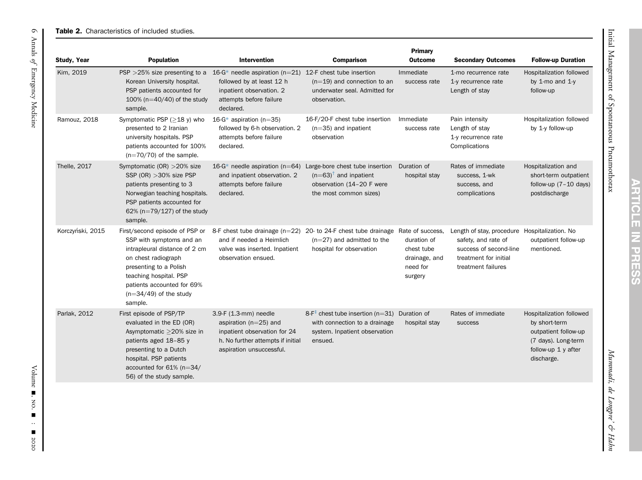#### **Table 2.** Characteristics of included studies.

<span id="page-5-0"></span>

| <b>Study, Year</b> | Population                                                                                                                                                                                                                                  | Intervention                                                                                                                                        | <b>Comparison</b>                                                                                                                    | <b>Primary</b><br><b>Outcome</b>                                                      | <b>Secondary Outcomes</b>                                                                                                                     | <b>Follow-up Duration</b>                                                                                                     |
|--------------------|---------------------------------------------------------------------------------------------------------------------------------------------------------------------------------------------------------------------------------------------|-----------------------------------------------------------------------------------------------------------------------------------------------------|--------------------------------------------------------------------------------------------------------------------------------------|---------------------------------------------------------------------------------------|-----------------------------------------------------------------------------------------------------------------------------------------------|-------------------------------------------------------------------------------------------------------------------------------|
| Kim, 2019          | $PSP > 25\%$ size presenting to a<br>Korean University hospital.<br>PSP patients accounted for<br>100% ( $n=40/40$ ) of the study<br>sample.                                                                                                | 16-G* needle aspiration ( $n=21$ )<br>followed by at least 12 h<br>inpatient observation. 2<br>attempts before failure<br>declared.                 | 12-F chest tube insertion<br>$(n=19)$ and connection to an<br>underwater seal. Admitted for<br>observation.                          | Immediate<br>success rate                                                             | 1-mo recurrence rate<br>1-y recurrence rate<br>Length of stay                                                                                 | Hospitalization followed<br>by 1-mo and $1-y$<br>follow-up                                                                    |
| Ramouz, 2018       | Symptomatic PSP $(>18$ y) who<br>presented to 2 Iranian<br>university hospitals. PSP<br>patients accounted for 100%<br>$(n=70/70)$ of the sample.                                                                                           | 16- $G^*$ aspiration (n=35)<br>followed by 6-h observation. 2<br>attempts before failure<br>declared.                                               | 16-F/20-F chest tube insertion<br>$(n=35)$ and inpatient<br>observation                                                              | Immediate<br>success rate                                                             | Pain intensity<br>Length of stay<br>1-y recurrence rate<br>Complications                                                                      | Hospitalization followed<br>by 1-y follow-up                                                                                  |
| Thelle, 2017       | Symptomatic (OR) > 20% size<br>SSP (OR) $>30\%$ size PSP<br>patients presenting to 3<br>Norwegian teaching hospitals.<br>PSP patients accounted for<br>62% ( $n=79/127$ ) of the study<br>sample.                                           | 16-G* needle aspiration ( $n=64$ )<br>and inpatient observation. 2<br>attempts before failure<br>declared.                                          | Large-bore chest tube insertion<br>$(n=63)^{t}$ and inpatient<br>observation (14-20 F were<br>the most common sizes)                 | Duration of<br>hospital stay                                                          | Rates of immediate<br>success, 1-wk<br>success, and<br>complications                                                                          | Hospitalization and<br>short-term outpatient<br>follow-up $(7-10$ days)<br>postdischarge                                      |
| Korczyński, 2015   | First/second episode of PSP or<br>SSP with symptoms and an<br>intrapleural distance of 2 cm<br>on chest radiograph<br>presenting to a Polish<br>teaching hospital. PSP<br>patients accounted for 69%<br>$(n=34/49)$ of the study<br>sample. | and if needed a Heimlich<br>valve was inserted. Inpatient<br>observation ensued.                                                                    | 8-F chest tube drainage $(n=22)$ 20- to 24-F chest tube drainage<br>$(n=27)$ and admitted to the<br>hospital for observation         | Rate of success.<br>duration of<br>chest tube<br>drainage, and<br>need for<br>surgery | Length of stay, procedure Hospitalization. No<br>safety, and rate of<br>success of second-line<br>treatment for initial<br>treatment failures | outpatient follow-up<br>mentioned.                                                                                            |
| Parlak, 2012       | First episode of PSP/TP<br>evaluated in the ED (OR)<br>Asymptomatic >20% size in<br>patients aged 18-85 y<br>presenting to a Dutch<br>hospital. PSP patients<br>accounted for 61% (n=34/<br>56) of the study sample.                        | 3.9-F (1.3-mm) needle<br>aspiration ( $n=25$ ) and<br>inpatient observation for 24<br>h. No further attempts if initial<br>aspiration unsuccessful. | $8-F^{\dagger}$ chest tube insertion (n=31) Duration of<br>with connection to a drainage<br>system. Inpatient observation<br>ensued. | hospital stay                                                                         | Rates of immediate<br>success                                                                                                                 | Hospitalization followed<br>by short-term<br>outpatient follow-up<br>(7 days). Long-term<br>follow-up 1 y after<br>discharge. |

Initial Management of Spontaneous Pneumothorax

Initial Management of Spontaneous Pneumothorax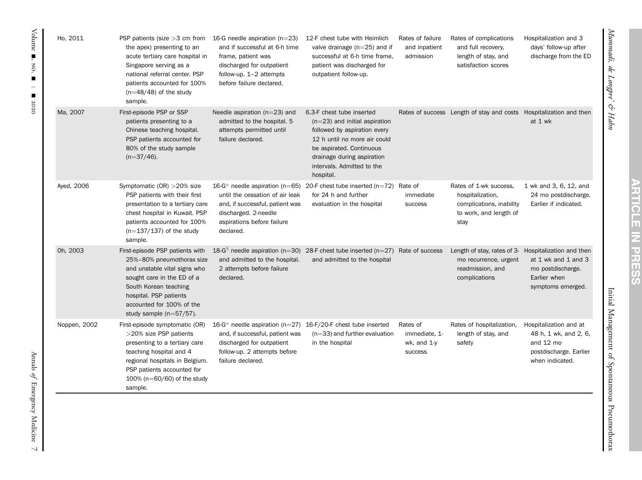| Ho, 2011     | PSP patients (size $>3$ cm from<br>the apex) presenting to an<br>acute tertiary care hospital in<br>Singapore serving as a<br>national referral center. PSP<br>patients accounted for 100%<br>$(n=48/48)$ of the study<br>sample.        | 16-G needle aspiration ( $n=23$ )<br>and if successful at 6-h time<br>frame, patient was<br>discharged for outpatient<br>follow-up. 1-2 attempts<br>before failure declared.          | 12-F chest tube with Heimlich<br>valve drainage $(n=25)$ and if<br>successful at 6-h time frame,<br>patient was discharged for<br>outpatient follow-up.                                                                           | Rates of failure<br>and inpatient<br>admission      | Rates of complications<br>and full recovery,<br>length of stay, and<br>satisfaction scores               | Hospitalization and 3<br>days' follow-up after<br>discharge from the ED                                   |
|--------------|------------------------------------------------------------------------------------------------------------------------------------------------------------------------------------------------------------------------------------------|---------------------------------------------------------------------------------------------------------------------------------------------------------------------------------------|-----------------------------------------------------------------------------------------------------------------------------------------------------------------------------------------------------------------------------------|-----------------------------------------------------|----------------------------------------------------------------------------------------------------------|-----------------------------------------------------------------------------------------------------------|
| Ma, 2007     | First-episode PSP or SSP<br>patients presenting to a<br>Chinese teaching hospital.<br>PSP patients accounted for<br>80% of the study sample<br>$(n=37/46)$ .                                                                             | Needle aspiration ( $n=23$ ) and<br>admitted to the hospital. 5<br>attempts permitted until<br>failure declared.                                                                      | 6.3-F chest tube inserted<br>$(n=23)$ and initial aspiration<br>followed by aspiration every<br>12 h until no more air could<br>be aspirated. Continuous<br>drainage during aspiration<br>intervals. Admitted to the<br>hospital. |                                                     | Rates of success Length of stay and costs Hospitalization and then                                       | at 1 wk                                                                                                   |
| Ayed, 2006   | Symptomatic (OR) > 20% size<br>PSP patients with their first<br>presentation to a tertiary care<br>chest hospital in Kuwait. PSP<br>patients accounted for 100%<br>$(n=137/137)$ of the study<br>sample.                                 | until the cessation of air leak<br>and, if successful, patient was<br>discharged. 2-needle<br>aspirations before failure<br>declared.                                                 | 16-G* needle aspiration ( $n=65$ ) 20-F chest tube inserted ( $n=72$ ) Rate of<br>for 24 h and further<br>evaluation in the hospital                                                                                              | immediate<br>success                                | Rates of 1-wk success,<br>hospitalization,<br>complications, inability<br>to work, and length of<br>stay | 1 wk and 3, 6, 12, and<br>24 mo postdischarge.<br>Earlier if indicated.                                   |
| Oh, 2003     | First-episode PSP patients with<br>25%-80% pneumothorax size<br>and unstable vital signs who<br>sought care in the ED of a<br>South Korean teaching<br>hospital. PSP patients<br>accounted for 100% of the<br>study sample $(n=57/57)$ . | and admitted to the hospital.<br>2 attempts before failure<br>declared.                                                                                                               | 18-G <sup>§</sup> needle aspiration (n=30) 28-F chest tube inserted (n=27) Rate of success<br>and admitted to the hospital                                                                                                        |                                                     | Length of stay, rates of 3-<br>mo recurrence, urgent<br>readmission, and<br>complications                | Hospitalization and then<br>at 1 wk and 1 and 3<br>mo postdischarge.<br>Earlier when<br>symptoms emerged. |
| Noppen, 2002 | First-episode symptomatic (OR)<br>>20% size PSP patients<br>presenting to a tertiary care<br>teaching hospital and 4<br>regional hospitals in Belgium.<br>PSP patients accounted for<br>100% ( $n=60/60$ ) of the study<br>sample.       | 16-G* needle aspiration ( $n=27$ ) 16-F/20-F chest tube inserted<br>and, if successful, patient was<br>discharged for outpatient<br>follow-up. 2 attempts before<br>failure declared. | $(n=33)$ and further evaluation<br>in the hospital                                                                                                                                                                                | Rates of<br>immediate, 1-<br>wk, and 1-y<br>success | Rates of hospitalization,<br>length of stay, and<br>safety                                               | Hospitalization and at<br>48 h, 1 wk, and 2, 6,<br>and 12 mo<br>postdischarge. Earlier<br>when indicated. |

Mummadi, de Longpre

' & Hahn

**ARTICLE IN PRESS**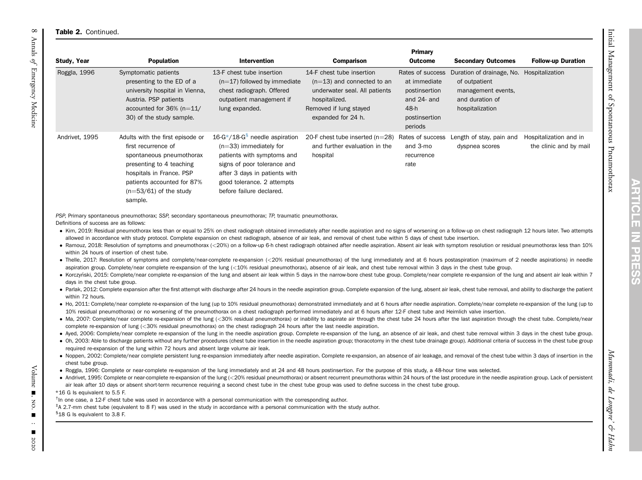#### Table 2. Continued.

| <b>Study, Year</b>                                                                                                                                | <b>Population</b>                                                                                                                                                                                                                                                                                                                                                                                                                                                                                                                                                                                                                                                                                                                                                                                                                                                                                                                                                                                                                                                                                                                                                                                                                                                                                                                                                                                                                                                                                                                                                                                                                                                                                                                                                                                                                                                                                                                                                                                                                                                                                                                                                                                                                                                                                                                                                                                                                                                                                                                                                                                                                                                                                                                                                                                                                                                                                                                                                                                                                                                                                                                                                                                                                                                                                                                                                                                                                                                                                                                                                                                                                                                                                  | Intervention                                                                                                                                                                                                        | <b>Comparison</b>                                                                                                                                           | <b>Primary</b><br><b>Outcome</b>                                                                     | <b>Secondary Outcomes</b>                                                                                              | <b>Follow-up Duration</b>                        |
|---------------------------------------------------------------------------------------------------------------------------------------------------|----------------------------------------------------------------------------------------------------------------------------------------------------------------------------------------------------------------------------------------------------------------------------------------------------------------------------------------------------------------------------------------------------------------------------------------------------------------------------------------------------------------------------------------------------------------------------------------------------------------------------------------------------------------------------------------------------------------------------------------------------------------------------------------------------------------------------------------------------------------------------------------------------------------------------------------------------------------------------------------------------------------------------------------------------------------------------------------------------------------------------------------------------------------------------------------------------------------------------------------------------------------------------------------------------------------------------------------------------------------------------------------------------------------------------------------------------------------------------------------------------------------------------------------------------------------------------------------------------------------------------------------------------------------------------------------------------------------------------------------------------------------------------------------------------------------------------------------------------------------------------------------------------------------------------------------------------------------------------------------------------------------------------------------------------------------------------------------------------------------------------------------------------------------------------------------------------------------------------------------------------------------------------------------------------------------------------------------------------------------------------------------------------------------------------------------------------------------------------------------------------------------------------------------------------------------------------------------------------------------------------------------------------------------------------------------------------------------------------------------------------------------------------------------------------------------------------------------------------------------------------------------------------------------------------------------------------------------------------------------------------------------------------------------------------------------------------------------------------------------------------------------------------------------------------------------------------------------------------------------------------------------------------------------------------------------------------------------------------------------------------------------------------------------------------------------------------------------------------------------------------------------------------------------------------------------------------------------------------------------------------------------------------------------------------------------------------|---------------------------------------------------------------------------------------------------------------------------------------------------------------------------------------------------------------------|-------------------------------------------------------------------------------------------------------------------------------------------------------------|------------------------------------------------------------------------------------------------------|------------------------------------------------------------------------------------------------------------------------|--------------------------------------------------|
| Roggla, 1996                                                                                                                                      | Symptomatic patients<br>presenting to the ED of a<br>university hospital in Vienna,<br>Austria. PSP patients<br>accounted for $36\%$ (n=11/<br>30) of the study sample.                                                                                                                                                                                                                                                                                                                                                                                                                                                                                                                                                                                                                                                                                                                                                                                                                                                                                                                                                                                                                                                                                                                                                                                                                                                                                                                                                                                                                                                                                                                                                                                                                                                                                                                                                                                                                                                                                                                                                                                                                                                                                                                                                                                                                                                                                                                                                                                                                                                                                                                                                                                                                                                                                                                                                                                                                                                                                                                                                                                                                                                                                                                                                                                                                                                                                                                                                                                                                                                                                                                            | 13-F chest tube insertion<br>$(n=17)$ followed by immediate<br>chest radiograph. Offered<br>outpatient management if<br>lung expanded.                                                                              | 14-F chest tube insertion<br>$(n=13)$ and connected to an<br>underwater seal. All patients<br>hospitalized.<br>Removed if lung stayed<br>expanded for 24 h. | Rates of success<br>at immediate<br>postinsertion<br>and 24- and<br>48-h<br>postinsertion<br>periods | Duration of drainage, No. Hospitalization<br>of outpatient<br>management events,<br>and duration of<br>hospitalization |                                                  |
| Andrivet, 1995                                                                                                                                    | Adults with the first episode or<br>first recurrence of<br>spontaneous pneumothorax<br>presenting to 4 teaching<br>hospitals in France. PSP<br>patients accounted for 87%<br>$(n=53/61)$ of the study<br>sample.                                                                                                                                                                                                                                                                                                                                                                                                                                                                                                                                                                                                                                                                                                                                                                                                                                                                                                                                                                                                                                                                                                                                                                                                                                                                                                                                                                                                                                                                                                                                                                                                                                                                                                                                                                                                                                                                                                                                                                                                                                                                                                                                                                                                                                                                                                                                                                                                                                                                                                                                                                                                                                                                                                                                                                                                                                                                                                                                                                                                                                                                                                                                                                                                                                                                                                                                                                                                                                                                                   | $16-G*/18-G§$ needle aspiration<br>$(n=33)$ immediately for<br>patients with symptoms and<br>signs of poor tolerance and<br>after 3 days in patients with<br>good tolerance. 2 attempts<br>before failure declared. | 20-F chest tube inserted $(n=28)$<br>and further evaluation in the<br>hospital                                                                              | and 3-mo<br>recurrence<br>rate                                                                       | Rates of success Length of stay, pain and<br>dyspnea scores                                                            | Hospitalization and in<br>the clinic and by mail |
| Definitions of success are as follows:<br>days in the chest tube group.<br>within 72 hours.<br>chest tube group.<br>*16 G Is equivalent to 5.5 F. | • Kim, 2019: Residual pneumothorax less than or equal to 25% on chest radiograph obtained immediately after needle aspiration and no signs of worsening on a follow-up on chest radiograph 12 hours later. Two attempts<br>allowed in accordance with study protocol. Complete expansion on chest radiograph, absence of air leak, and removal of chest tube within 5 days of chest tube insertion.<br>• Ramouz, 2018: Resolution of symptoms and pneumothorax (<20%) on a follow-up 6-h chest radiograph obtained after needle aspiration. Absent air leak with symptom resolution or residual pneumothorax less than 10%<br>within 24 hours of insertion of chest tube.<br>• Thelle, 2017: Resolution of symptoms and complete/near-complete re-expansion (<20% residual pneumothorax) of the lung immediately and at 6 hours postaspiration (maximum of 2 needle aspirations) in needle<br>aspiration group. Complete/near complete re-expansion of the lung (<10% residual pneumothorax), absence of air leak, and chest tube removal within 3 days in the chest tube group.<br>• Korczyński, 2015: Complete/near complete re-expansion of the lung and absent air leak within 5 days in the narrow-bore chest tube group. Complete/near complete re-expansion of the lung and absent air leak within 7<br>• Parlak, 2012: Complete expansion after the first attempt with discharge after 24 hours in the needle aspiration group. Complete expansion of the lung, absent air leak, chest tube removal, and ability to discharge the pat<br>• Ho, 2011: Complete/near complete re-expansion of the lung (up to 10% residual pneumothorax) demonstrated immediately and at 6 hours after needle aspiration. Complete/near complete re-expansion of the lung (up to<br>10% residual pneumothorax) or no worsening of the pneumothorax on a chest radiograph performed immediately and at 6 hours after 12-F chest tube and Heimlich valve insertion.<br>• Ma, 2007: Complete/near complete re-expansion of the lung (<30% residual pneumothorax) or inability to aspirate air through the chest tube 24 hours after the last aspiration through the chest tube. Complete/near<br>complete re-expansion of lung $\langle$ <30% residual pneumothorax) on the chest radiograph 24 hours after the last needle aspiration.<br>• Ayed, 2006: Complete/near complete re-expansion of the lung in the needle aspiration group. Complete re-expansion of the lung, an absence of air leak, and chest tube removal within 3 days in the chest tube group.<br>• Oh, 2003: Able to discharge patients without any further procedures (chest tube insertion in the needle aspiration group; thoracotomy in the chest tube drainage group). Additional criteria of success in the chest tube gr<br>required re-expansion of the lung within 72 hours and absent large volume air leak.<br>• Noppen, 2002: Complete/near complete persistent lung re-expansion immediately after needle aspiration. Complete re-expansion, an absence of air leakage, and removal of the chest tube within 3 days of insertion in the<br>• Roggla, 1996: Complete or near-complete re-expansion of the lung immediately and at 24 and 48 hours postinsertion. For the purpose of this study, a 48-hour time was selected.<br>• Andrivet, 1995: Complete or near-complete re-expansion of the lung (<20% residual pneumothorax) or absent recurrent pneumothorax within 24 hours of the last procedure in the needle aspiration group. Lack of persistent<br>air leak after 10 days or absent short-term recurrence requiring a second chest tube in the chest tube group was used to define success in the chest tube group. |                                                                                                                                                                                                                     |                                                                                                                                                             |                                                                                                      |                                                                                                                        |                                                  |

<span id="page-7-3"></span><span id="page-7-2"></span><span id="page-7-1"></span><span id="page-7-0"></span>Initial Management of Spontaneous Pneumothorax

Initial Management of Spontaneous Pneumothorax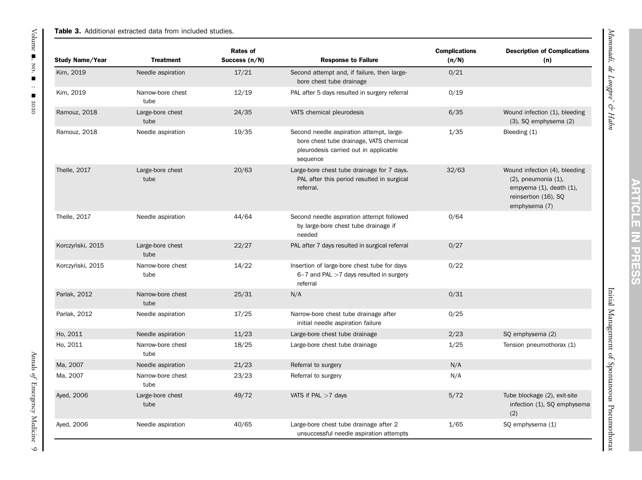#### **Table 3.** Additional extracted data from included studies.

<span id="page-8-0"></span>

| Study Name/Year  | <b>Treatment</b>          | <b>Rates of</b><br>Success (n/N) | <b>Response to Failure</b>                                                                                                               | <b>Complications</b><br>(n/N) | <b>Description of Complications</b><br>(n)                                                                                           |
|------------------|---------------------------|----------------------------------|------------------------------------------------------------------------------------------------------------------------------------------|-------------------------------|--------------------------------------------------------------------------------------------------------------------------------------|
| Kim, 2019        | Needle aspiration         | 17/21                            | Second attempt and, if failure, then large-<br>bore chest tube drainage                                                                  | 0/21                          |                                                                                                                                      |
| Kim, 2019        | Narrow-bore chest<br>tube | 12/19                            | PAL after 5 days resulted in surgery referral                                                                                            | 0/19                          |                                                                                                                                      |
| Ramouz, 2018     | Large-bore chest<br>tube  | 24/35                            | VATS chemical pleurodesis                                                                                                                | 6/35                          | Wound infection (1), bleeding<br>$(3)$ , SQ emphysema $(2)$                                                                          |
| Ramouz, 2018     | Needle aspiration         | 19/35                            | Second needle aspiration attempt, large-<br>bore chest tube drainage, VATS chemical<br>pleurodesis carried out in applicable<br>sequence | 1/35                          | Bleeding (1)                                                                                                                         |
| Thelle, 2017     | Large-bore chest<br>tube  | 20/63                            | Large-bore chest tube drainage for 7 days.<br>PAL after this period resulted in surgical<br>referral.                                    | 32/63                         | Wound infection (4), bleeding<br>$(2)$ , pneumonia $(1)$ ,<br>empyema $(1)$ , death $(1)$ ,<br>reinsertion (16), SQ<br>emphysema (7) |
| Thelle, 2017     | Needle aspiration         | 44/64                            | Second needle aspiration attempt followed<br>by large-bore chest tube drainage if<br>needed                                              | 0/64                          |                                                                                                                                      |
| Korczyński, 2015 | Large-bore chest<br>tube  | 22/27                            | PAL after 7 days resulted in surgical referral                                                                                           | 0/27                          |                                                                                                                                      |
| Korczyński, 2015 | Narrow-bore chest<br>tube | 14/22                            | Insertion of large-bore chest tube for days<br>6-7 and PAL >7 days resulted in surgery<br>referral                                       | 0/22                          |                                                                                                                                      |
| Parlak, 2012     | Narrow-bore chest<br>tube | 25/31                            | N/A                                                                                                                                      | 0/31                          |                                                                                                                                      |
| Parlak, 2012     | Needle aspiration         | 17/25                            | Narrow-bore chest tube drainage after<br>initial needle aspiration failure                                                               | 0/25                          |                                                                                                                                      |
| Ho, 2011         | Needle aspiration         | 11/23                            | Large-bore chest tube drainage                                                                                                           | 2/23                          | SQ emphysema (2)                                                                                                                     |
| Ho, 2011         | Narrow-bore chest<br>tube | 18/25                            | Large-bore chest tube drainage                                                                                                           | 1/25                          | Tension pneumothorax (1)                                                                                                             |
| Ma, 2007         | Needle aspiration         | 21/23                            | Referral to surgery                                                                                                                      | N/A                           |                                                                                                                                      |
| Ma, 2007         | Narrow-bore chest<br>tube | 23/23                            | Referral to surgery                                                                                                                      | N/A                           |                                                                                                                                      |
| Ayed, 2006       | Large-bore chest<br>tube  | 49/72                            | VATS if PAL $>7$ days                                                                                                                    | 5/72                          | Tube blockage (2), exit-site<br>infection (1), SQ emphysema<br>(2)                                                                   |
| Ayed, 2006       | Needle aspiration         | 40/65                            | Large-bore chest tube drainage after 2<br>unsuccessful needle aspiration attempts                                                        | 1/65                          | SQ emphysema (1)                                                                                                                     |

Mummadi, de Longpre

' & Hahn

Annals of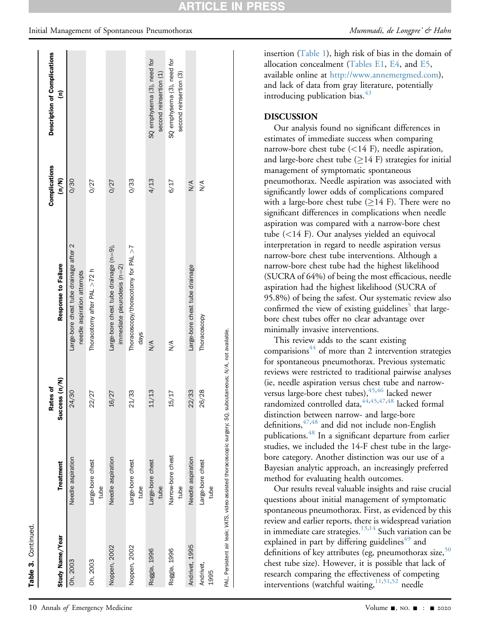|                   |                                                                           | Rates of                          |                                                                      | <b>Complications</b> | Description of Complications                         |
|-------------------|---------------------------------------------------------------------------|-----------------------------------|----------------------------------------------------------------------|----------------------|------------------------------------------------------|
| Study Name/Year   | <b>Treatment</b>                                                          | Success (n/N)                     | Response to Failure                                                  | $\binom{N}{k}$       | $\widehat{\epsilon}$                                 |
| Oh, 2003          | Needle aspiration                                                         | 24/30                             | Large-bore chest tube drainage after 2<br>needle aspiration attempts | 0/30                 |                                                      |
| Oh, 2003          | Large-bore chest<br>tube                                                  | 22/27                             | Thoracotomy after PAL >72 h                                          | 0/27                 |                                                      |
| Noppen, 2002      | Needle aspiration                                                         | 16/27                             | Large-bore chest tube drainage (n=9),<br>immediate pleurodesis (n=2) | 0/27                 |                                                      |
| Noppen, 2002      | Large-bore chest<br>tube                                                  | 21/33                             | Thoracoscopy/thoracotomy for PAL >7<br>days                          | 0/33                 |                                                      |
| Roggla, 1996      | Large-bore chest<br>tube                                                  | 11/13                             | $\frac{4}{\sqrt{2}}$                                                 | 4/13                 | SQ emphysema (3), need for<br>second reinsertion (1) |
| Roggia, 1996      | Narrow-bore chest<br>tube                                                 | 15/17                             | $\sum_{i=1}^{n}$                                                     | 6/17                 | SQ emphysema (3), need for<br>second reinsertion (3) |
| Andrivet, 1995    | Needle aspiration                                                         | 22/33                             | Large-bore chest tube drainage                                       | $\sum_{i=1}^{n}$     |                                                      |
| Andrivet,<br>1995 | Large-bore chest<br>tube                                                  | 26/28                             | Thoracoscopy                                                         | $\sum_{i=1}^{n}$     |                                                      |
|                   | PAL, Persistent air leak; VATS, video-assisted thoracoscopic surgery; SQ, | subcutaneous; N/A, not available. |                                                                      |                      |                                                      |

#### Initial Management of Spontaneous Pneumothorax and the settlement of Spontaneous Pneumothorax Mummadi, de Longpre' & Hahn

#### DISCUSSION

introducing publication bias. $43$ 

Our analysis found no significant differences in estimates of immediate success when comparing narrow-bore chest tube  $(<14 \text{ F})$ , needle aspiration, and large-bore chest tube  $(\geq)14$  F) strategies for initial management of symptomatic spontaneous pneumothorax. Needle aspiration was associated with significantly lower odds of complications compared with a large-bore chest tube  $(214 \text{ F})$ . There were no significant differences in complications when needle aspiration was compared with a narrow-bore chest tube (<14 F). Our analyses yielded an equivocal interpretation in regard to needle aspiration versus narrow-bore chest tube interventions. Although a narrow-bore chest tube had the highest likelihood (SUCRA of 64%) of being the most efficacious, needle aspiration had the highest likelihood (SUCRA of 95.8%) of being the safest. Our systematic review also confirmed the view of existing guidelines<sup> $\delta$ </sup> that largebore chest tubes offer no clear advantage over minimally invasive interventions.

This review adds to the scant existing comparisions $44$  of more than 2 intervention strategies for spontaneous pneumothorax. Previous systematic reviews were restricted to traditional pairwise analyses (ie, needle aspiration versus chest tube and narrow-versus large-bore chest tubes), <sup>45[,46](#page-14-8)</sup> lacked newer randomized controlled data,  $44,45,47,48$  $44,45,47,48$  $44,45,47,48$  $44,45,47,48$  lacked formal distinction between narrow- and large-bore definitions[,47](#page-14-9)[,48](#page-14-10) and did not include non-English publications.<sup>[48](#page-14-10)</sup> In a significant departure from earlier studies, we included the 14-F chest tube in the largebore category. Another distinction was our use of a Bayesian analytic approach, an increasingly preferred method for evaluating health outcomes.

Our results reveal valuable insights and raise crucial questions about initial management of symptomatic spontaneous pneumothorax. First, as evidenced by this review and earlier reports, there is widespread variation in immediate care strategies. $13,14$  $13,14$  Such variation can be explained in part by differing guidelines<sup> $49$ </sup> and definitions of key attributes (eg, pneumothorax size,  $50$ ) chest tube size). However, it is possible that lack of research comparing the effectiveness of competing interventions (watchful waiting, [11](#page-13-10)[,51](#page-14-13)[,52](#page-14-14) needle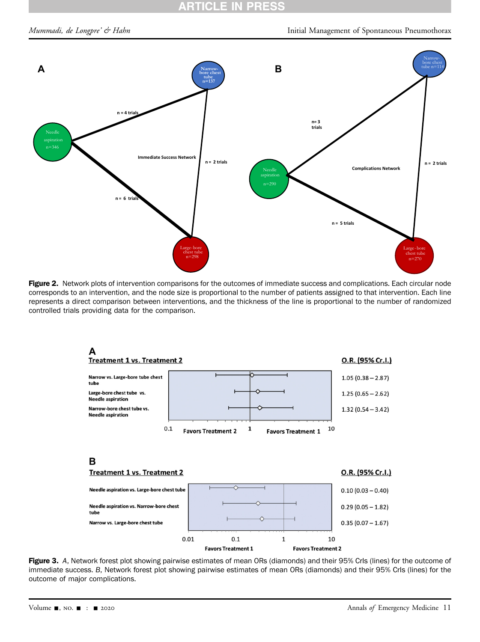<span id="page-10-0"></span>

<span id="page-10-1"></span>Figure 2. Network plots of intervention comparisons for the outcomes of immediate success and complications. Each circular node corresponds to an intervention, and the node size is proportional to the number of patients assigned to that intervention. Each line represents a direct comparison between interventions, and the thickness of the line is proportional to the number of randomized controlled trials providing data for the comparison.



Figure 3. A, Network forest plot showing pairwise estimates of mean ORs (diamonds) and their 95% CrIs (lines) for the outcome of immediate success. B, Network forest plot showing pairwise estimates of mean ORs (diamonds) and their 95% CrIs (lines) for the outcome of major complications.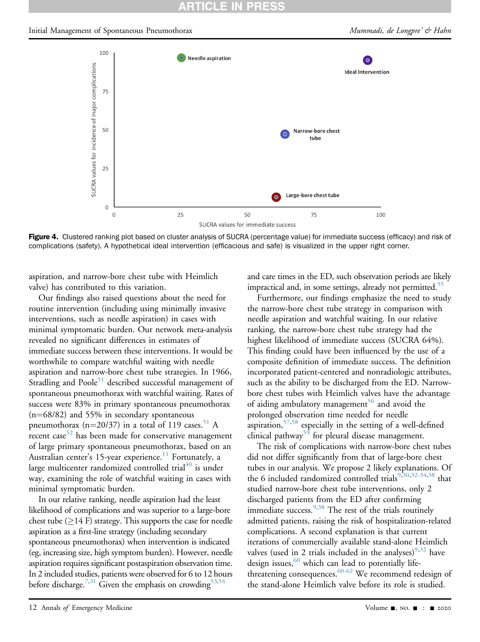## RTICLE IN

#### <span id="page-11-0"></span>Initial Management of Spontaneous Pneumothorax and the settlement of Spontaneous Pneumothorax Mummadi, de Longpre' & Hahn



Figure 4. Clustered ranking plot based on cluster analysis of SUCRA (percentage value) for immediate success (efficacy) and risk of complications (safety). A hypothetical ideal intervention (efficacious and safe) is visualized in the upper right corner.

aspiration, and narrow-bore chest tube with Heimlich valve) has contributed to this variation.

Our findings also raised questions about the need for routine intervention (including using minimally invasive interventions, such as needle aspiration) in cases with minimal symptomatic burden. Our network meta-analysis revealed no significant differences in estimates of immediate success between these interventions. It would be worthwhile to compare watchful waiting with needle aspiration and narrow-bore chest tube strategies. In 1966, Stradling and  $Poole<sup>51</sup>$  $Poole<sup>51</sup>$  $Poole<sup>51</sup>$  described successful management of spontaneous pneumothorax with watchful waiting. Rates of success were 83% in primary spontaneous pneumothorax  $(n=68/82)$  and 55% in secondary spontaneous pneumothorax (n=20/37) in a total of 119 cases.<sup>[51](#page-14-13)</sup> A recent case<sup>[52](#page-14-14)</sup> has been made for conservative management of large primary spontaneous pneumothorax, based on an Australian center's 15-year experience.<sup>[11](#page-13-10)</sup> Fortunately, a large multicenter randomized controlled trial $40$  is under way, examining the role of watchful waiting in cases with minimal symptomatic burden.

In our relative ranking, needle aspiration had the least likelihood of complications and was superior to a large-bore chest tube  $(\geq)14$  F) strategy. This supports the case for needle aspiration as a first-line strategy (including secondary spontaneous pneumothorax) when intervention is indicated (eg, increasing size, high symptom burden). However, needle aspiration requires significant postaspiration observation time. In 2 included studies, patients were observed for 6 to 12 hours before discharge.<sup>7[,31](#page-13-34)</sup> Given the emphasis on crowding<sup>53[,54](#page-14-16)</sup>

and care times in the ED, such observation periods are likely impractical and, in some settings, already not permitted.<sup>55</sup>

Furthermore, our findings emphasize the need to study the narrow-bore chest tube strategy in comparison with needle aspiration and watchful waiting. In our relative ranking, the narrow-bore chest tube strategy had the highest likelihood of immediate success (SUCRA 64%). This finding could have been influenced by the use of a composite definition of immediate success. The definition incorporated patient-centered and nonradiologic attributes, such as the ability to be discharged from the ED. Narrowbore chest tubes with Heimlich valves have the advantage of aiding ambulatory management<sup>56</sup> and avoid the prolonged observation time needed for needle aspiration,<sup>57[,58](#page-14-20)</sup> especially in the setting of a well-defined clinical pathway<sup>[59](#page-14-21)</sup> for pleural disease management.

The risk of complications with narrow-bore chest tubes did not differ significantly from that of large-bore chest tubes in our analysis. We propose 2 likely explanations. Of the 6 included randomized controlled trials $9,30,32-34,38$  $9,30,32-34,38$  $9,30,32-34,38$  $9,30,32-34,38$  that studied narrow-bore chest tube interventions, only 2 discharged patients from the ED after confirming immediate success.  $9,38$  $9,38$  The rest of the trials routinely admitted patients, raising the risk of hospitalization-related complications. A second explanation is that current iterations of commercially available stand-alone Heimlich valves (used in 2 trials included in the analyses)<sup>[9](#page-13-8),[32](#page-13-32)</sup> have design issues,  $60$  which can lead to potentially life-threatening consequences.<sup>[60-62](#page-14-22)</sup> We recommend redesign of the stand-alone Heimlich valve before its role is studied.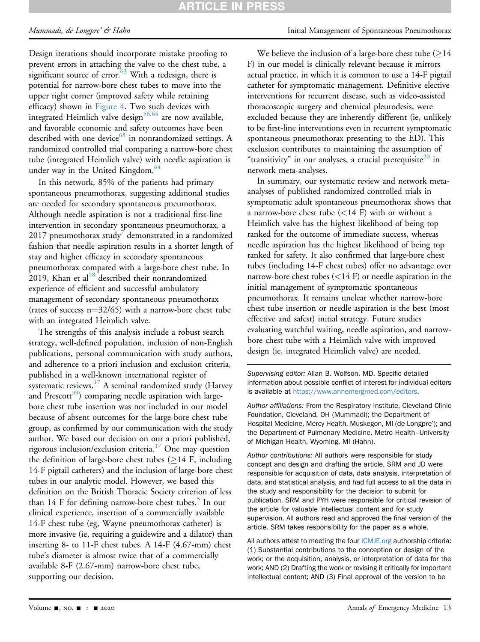## **ARTICLE IN PRES**

#### Mummadi, de Longpre' & Hahn Initial Management of Spontaneous Pneumothorax

Design iterations should incorporate mistake proofing to prevent errors in attaching the valve to the chest tube, a significant source of error. $63$  With a redesign, there is potential for narrow-bore chest tubes to move into the upper right corner (improved safety while retaining efficacy) shown in [Figure 4.](#page-11-0) Two such devices with integrated Heimlich valve design<sup>[56,](#page-14-18)[64](#page-14-24)</sup> are now available, and favorable economic and safety outcomes have been described with one device<sup>[65](#page-14-25)</sup> in nonrandomized settings. A randomized controlled trial comparing a narrow-bore chest tube (integrated Heimlich valve) with needle aspiration is under way in the United Kingdom.<sup>[64](#page-14-24)</sup>

In this network, 85% of the patients had primary spontaneous pneumothorax, suggesting additional studies are needed for secondary spontaneous pneumothorax. Although needle aspiration is not a traditional first-line intervention in secondary spontaneous pneumothorax, a 2017 pneumothorax study demonstrated in a randomized fashion that needle aspiration results in a shorter length of stay and higher efficacy in secondary spontaneous pneumothorax compared with a large-bore chest tube. In 2019, Khan et al $58$  described their nonrandomized experience of efficient and successful ambulatory management of secondary spontaneous pneumothorax (rates of success  $n=32/65$ ) with a narrow-bore chest tube with an integrated Heimlich valve.

The strengths of this analysis include a robust search strategy, well-defined population, inclusion of non-English publications, personal communication with study authors, and adherence to a priori inclusion and exclusion criteria, published in a well-known international register of systematic reviews.<sup>17</sup> A seminal randomized study (Harvey and Prescott<sup>39</sup>) comparing needle aspiration with largebore chest tube insertion was not included in our model because of absent outcomes for the large-bore chest tube group, as confirmed by our communication with the study author. We based our decision on our a priori published, rigorous inclusion/exclusion criteria.[17](#page-13-14) One may question the definition of large-bore chest tubes  $(≥14$  F, including 14-F pigtail catheters) and the inclusion of large-bore chest tubes in our analytic model. However, we based this definition on the British Thoracic Society criterion of less than 14 F for defining narrow-bore chest tubes.<sup>[5](#page-13-4)</sup> In our clinical experience, insertion of a commercially available 14-F chest tube (eg, Wayne pneumothorax catheter) is more invasive (ie, requiring a guidewire and a dilator) than inserting 8- to 11-F chest tubes. A 14-F (4.67-mm) chest tube's diameter is almost twice that of a commercially available 8-F (2.67-mm) narrow-bore chest tube, supporting our decision.

We believe the inclusion of a large-bore chest tube  $(214)$ F) in our model is clinically relevant because it mirrors actual practice, in which it is common to use a 14-F pigtail catheter for symptomatic management. Definitive elective interventions for recurrent disease, such as video-assisted thoracoscopic surgery and chemical pleurodesis, were excluded because they are inherently different (ie, unlikely to be first-line interventions even in recurrent symptomatic spontaneous pneumothorax presenting to the ED). This exclusion contributes to maintaining the assumption of "transitivity" in our analyses, a crucial prerequisite<sup>[20](#page-13-17)</sup> in network meta-analyses.

In summary, our systematic review and network metaanalyses of published randomized controlled trials in symptomatic adult spontaneous pneumothorax shows that a narrow-bore chest tube  $(<14 \text{ F})$  with or without a Heimlich valve has the highest likelihood of being top ranked for the outcome of immediate success, whereas needle aspiration has the highest likelihood of being top ranked for safety. It also confirmed that large-bore chest tubes (including 14-F chest tubes) offer no advantage over narrow-bore chest tubes  $(<14 \text{ F})$  or needle aspiration in the initial management of symptomatic spontaneous pneumothorax. It remains unclear whether narrow-bore chest tube insertion or needle aspiration is the best (most effective and safest) initial strategy. Future studies evaluating watchful waiting, needle aspiration, and narrowbore chest tube with a Heimlich valve with improved design (ie, integrated Heimlich valve) are needed.

Supervising editor: Allan B. Wolfson, MD. Specific detailed information about possible conflict of interest for individual editors is available at [https://www.annemergmed.com/editors.](https://www.annemergmed.com/editors)

Author affiliations: From the Respiratory Institute, Cleveland Clinic Foundation, Cleveland, OH (Mummadi); the Department of Hospital Medicine, Mercy Health, Muskegon, MI (de Longpre'); and the Department of Pulmonary Medicine, Metro Health–University of Michigan Health, Wyoming, MI (Hahn).

Author contributions: All authors were responsible for study concept and design and drafting the article. SRM and JD were responsible for acquisition of data, data analysis, interpretation of data, and statistical analysis, and had full access to all the data in the study and responsibility for the decision to submit for publication. SRM and PYH were responsible for critical revision of the article for valuable intellectual content and for study supervision. All authors read and approved the final version of the article. SRM takes responsibility for the paper as a whole.

All authors attest to meeting the four [ICMJE.org](http://ICMJE.org) authorship criteria: (1) Substantial contributions to the conception or design of the work; or the acquisition, analysis, or interpretation of data for the work; AND (2) Drafting the work or revising it critically for important intellectual content; AND (3) Final approval of the version to be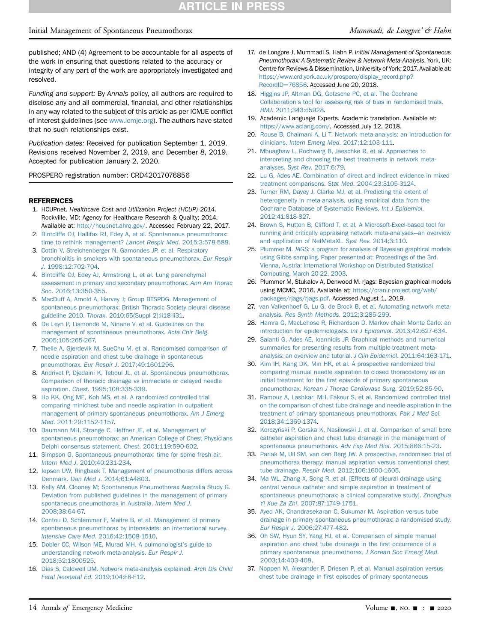## Initial Management of Spontaneous Pneumothorax and the settlement of Spontaneous Pneumothorax Mummadi, de Longpre' & Hahn

published; AND (4) Agreement to be accountable for all aspects of the work in ensuring that questions related to the accuracy or integrity of any part of the work are appropriately investigated and resolved.

Funding and support: By Annals policy, all authors are required to disclose any and all commercial, financial, and other relationships in any way related to the subject of this article as per ICMJE conflict of interest guidelines (see [www.icmje.org\)](http://www.icmje.org). The authors have stated that no such relationships exist.

Publication dates: Received for publication September 1, 2019. Revisions received November 2, 2019, and December 8, 2019. Accepted for publication January 2, 2020.

PROSPERO registration number: CRD42017076856

#### **REFERENCES**

- <span id="page-13-0"></span>1. HCUPnet. Healthcare Cost and Utilization Project (HCUP) 2014. Rockville, MD: Agency for Healthcare Research & Quality; 2014. Available at: <http://hcupnet.ahrq.gov/>. Accessed February 22, 2017.
- <span id="page-13-1"></span>2. [Bintcliffe OJ, Hallifax RJ, Edey A, et al. Spontaneous pneumothorax:](http://refhub.elsevier.com/S0196-0644(20)30009-3/sref2) [time to rethink management?](http://refhub.elsevier.com/S0196-0644(20)30009-3/sref2) Lancet Respir Med. 2015;3:578-588.
- <span id="page-13-2"></span>3. [Cottin V, Streichenberger N, Gamondes JP, et al. Respiratory](http://refhub.elsevier.com/S0196-0644(20)30009-3/sref3) [bronchiolitis in smokers with spontaneous pneumothorax.](http://refhub.elsevier.com/S0196-0644(20)30009-3/sref3) Eur Respir J[. 1998;12:702-704](http://refhub.elsevier.com/S0196-0644(20)30009-3/sref3).
- <span id="page-13-3"></span>4. [Bintcliffe OJ, Edey AJ, Armstrong L, et al. Lung parenchymal](http://refhub.elsevier.com/S0196-0644(20)30009-3/sref4) [assessment in primary and secondary pneumothorax.](http://refhub.elsevier.com/S0196-0644(20)30009-3/sref4) Ann Am Thorac Soc[. 2016;13:350-355](http://refhub.elsevier.com/S0196-0644(20)30009-3/sref4).
- <span id="page-13-4"></span>5. [MacDuff A, Arnold A, Harvey J; Group BTSPDG. Management of](http://refhub.elsevier.com/S0196-0644(20)30009-3/sref5) [spontaneous pneumothorax: British Thoracic Society pleural disease](http://refhub.elsevier.com/S0196-0644(20)30009-3/sref5) guideline 2010. Thorax[. 2010;65\(Suppl 2\):ii18-ii31.](http://refhub.elsevier.com/S0196-0644(20)30009-3/sref5)
- <span id="page-13-5"></span>6. [De Leyn P, Lismonde M, Ninane V, et al. Guidelines on the](http://refhub.elsevier.com/S0196-0644(20)30009-3/sref6) [management of spontaneous pneumothorax.](http://refhub.elsevier.com/S0196-0644(20)30009-3/sref6) Acta Chir Belg. [2005;105:265-267.](http://refhub.elsevier.com/S0196-0644(20)30009-3/sref6)
- <span id="page-13-6"></span>7. [Thelle A, Gjerdevik M, SueChu M, et al. Randomised comparison of](http://refhub.elsevier.com/S0196-0644(20)30009-3/sref7) [needle aspiration and chest tube drainage in spontaneous](http://refhub.elsevier.com/S0196-0644(20)30009-3/sref7) pneumothorax. Eur Respir J[. 2017;49:1601296.](http://refhub.elsevier.com/S0196-0644(20)30009-3/sref7)
- <span id="page-13-7"></span>8. [Andrivet P, Djedaini K, Teboul JL, et al. Spontaneous pneumothorax.](http://refhub.elsevier.com/S0196-0644(20)30009-3/sref8) [Comparison of thoracic drainage vs immediate or delayed needle](http://refhub.elsevier.com/S0196-0644(20)30009-3/sref8) aspiration. Chest[. 1995;108:335-339](http://refhub.elsevier.com/S0196-0644(20)30009-3/sref8).
- <span id="page-13-8"></span>9. [Ho KK, Ong ME, Koh MS, et al. A randomized controlled trial](http://refhub.elsevier.com/S0196-0644(20)30009-3/sref9) [comparing minichest tube and needle aspiration in outpatient](http://refhub.elsevier.com/S0196-0644(20)30009-3/sref9) [management of primary spontaneous pneumothorax.](http://refhub.elsevier.com/S0196-0644(20)30009-3/sref9) Am J Emerg Med[. 2011;29:1152-1157.](http://refhub.elsevier.com/S0196-0644(20)30009-3/sref9)
- <span id="page-13-9"></span>10. [Baumann MH, Strange C, Heffner JE, et al. Management of](http://refhub.elsevier.com/S0196-0644(20)30009-3/sref10) [spontaneous pneumothorax: an American College of Chest Physicians](http://refhub.elsevier.com/S0196-0644(20)30009-3/sref10) [Delphi consensus statement.](http://refhub.elsevier.com/S0196-0644(20)30009-3/sref10) Chest. 2001;119:590-602.
- <span id="page-13-10"></span>11. [Simpson G. Spontaneous pneumothorax: time for some fresh air.](http://refhub.elsevier.com/S0196-0644(20)30009-3/sref11) Intern Med J[. 2010;40:231-234](http://refhub.elsevier.com/S0196-0644(20)30009-3/sref11).
- <span id="page-13-11"></span>12. [Iepsen UW, Ringbaek T. Management of pneumothorax differs across](http://refhub.elsevier.com/S0196-0644(20)30009-3/sref12) Denmark. Dan Med J[. 2014;61:A4803.](http://refhub.elsevier.com/S0196-0644(20)30009-3/sref12)
- <span id="page-13-35"></span>13. [Kelly AM, Clooney M; Spontaneous Pneumothorax Australia Study G.](http://refhub.elsevier.com/S0196-0644(20)30009-3/sref13) [Deviation from published guidelines in the management of primary](http://refhub.elsevier.com/S0196-0644(20)30009-3/sref13) [spontaneous pneumothorax in Australia.](http://refhub.elsevier.com/S0196-0644(20)30009-3/sref13) Intern Med J. [2008;38:64-67.](http://refhub.elsevier.com/S0196-0644(20)30009-3/sref13)
- <span id="page-13-36"></span>14. [Contou D, Schlemmer F, Maitre B, et al. Management of primary](http://refhub.elsevier.com/S0196-0644(20)30009-3/sref14) [spontaneous pneumothorax by intensivists: an international survey.](http://refhub.elsevier.com/S0196-0644(20)30009-3/sref14) Intensive Care Med[. 2016;42:1508-1510.](http://refhub.elsevier.com/S0196-0644(20)30009-3/sref14)
- <span id="page-13-12"></span>15. [Dobler CC, Wilson ME, Murad MH. A pulmonologist](http://refhub.elsevier.com/S0196-0644(20)30009-3/sref15)'s guide to [understanding network meta-analysis.](http://refhub.elsevier.com/S0196-0644(20)30009-3/sref15) Eur Respir J. [2018;52:1800525.](http://refhub.elsevier.com/S0196-0644(20)30009-3/sref15)
- <span id="page-13-13"></span>16. [Dias S, Caldwell DM. Network meta-analysis explained.](http://refhub.elsevier.com/S0196-0644(20)30009-3/sref16) Arch Dis Child Fetal Neonatal Ed[. 2019;104:F8-F12](http://refhub.elsevier.com/S0196-0644(20)30009-3/sref16).
- <span id="page-13-14"></span>17. de Longpre J, Mummadi S, Hahn P. Initial Management of Spontaneous Pneumothorax: A Systematic Review & Network Meta-Analysis. York, UK: Centre for Reviews & Dissemination, University of York; 2017. Available at: [https://www.crd.york.ac.uk/prospero/display\\_record.php?](https://www.crd.york.ac.uk/prospero/display_record.php?RecordID=76856) [RecordID](https://www.crd.york.ac.uk/prospero/display_record.php?RecordID=76856)=[76856.](https://www.crd.york.ac.uk/prospero/display_record.php?RecordID=76856) Accessed June 20, 2018.
- <span id="page-13-15"></span>18. [Higgins JP, Altman DG, Gotzsche PC, et al. The Cochrane](http://refhub.elsevier.com/S0196-0644(20)30009-3/sref18) Collaboration'[s tool for assessing risk of bias in randomised trials.](http://refhub.elsevier.com/S0196-0644(20)30009-3/sref18) BMJ[. 2011;343:d5928.](http://refhub.elsevier.com/S0196-0644(20)30009-3/sref18)
- <span id="page-13-16"></span>19. Academic Language Experts. Academic translation. Available at: <https://www.aclang.com/>. Accessed July 12, 2018.
- <span id="page-13-17"></span>20. [Rouse B, Chaimani A, Li T. Network meta-analysis: an introduction for](http://refhub.elsevier.com/S0196-0644(20)30009-3/sref20) clinicians. Intern Emerg Med[. 2017;12:103-111.](http://refhub.elsevier.com/S0196-0644(20)30009-3/sref20)
- <span id="page-13-18"></span>21. [Mbuagbaw L, Rochwerg B, Jaeschke R, et al. Approaches to](http://refhub.elsevier.com/S0196-0644(20)30009-3/sref21) [interpreting and choosing the best treatments in network meta](http://refhub.elsevier.com/S0196-0644(20)30009-3/sref21)analyses. Syst Rev[. 2017;6:79](http://refhub.elsevier.com/S0196-0644(20)30009-3/sref21).
- <span id="page-13-19"></span>22. [Lu G, Ades AE. Combination of direct and indirect evidence in mixed](http://refhub.elsevier.com/S0196-0644(20)30009-3/sref22) [treatment comparisons.](http://refhub.elsevier.com/S0196-0644(20)30009-3/sref22) Stat Med. 2004;23:3105-3124.
- <span id="page-13-20"></span>23. [Turner RM, Davey J, Clarke MJ, et al. Predicting the extent of](http://refhub.elsevier.com/S0196-0644(20)30009-3/sref23) [heterogeneity in meta-analysis, using empirical data from the](http://refhub.elsevier.com/S0196-0644(20)30009-3/sref23) [Cochrane Database of Systematic Reviews.](http://refhub.elsevier.com/S0196-0644(20)30009-3/sref23) Int J Epidemiol. [2012;41:818-827.](http://refhub.elsevier.com/S0196-0644(20)30009-3/sref23)
- <span id="page-13-21"></span>24. [Brown S, Hutton B, Clifford T, et al. A Microsoft-Excel-based tool for](http://refhub.elsevier.com/S0196-0644(20)30009-3/sref24) [running and critically appraising network meta-analyses](http://refhub.elsevier.com/S0196-0644(20)30009-3/sref24)—[an overview](http://refhub.elsevier.com/S0196-0644(20)30009-3/sref24) [and application of NetMetaXL.](http://refhub.elsevier.com/S0196-0644(20)30009-3/sref24) Syst Rev. 2014;3:110.
- <span id="page-13-22"></span>25. Plummer M. JAGS: [a program for analysis of Bayesian graphical models](http://refhub.elsevier.com/S0196-0644(20)30009-3/sref25) [using Gibbs sampling. Paper presented at: Proceedings of the 3rd.](http://refhub.elsevier.com/S0196-0644(20)30009-3/sref25) [Vienna, Austria: International Workshop on Distributed Statistical](http://refhub.elsevier.com/S0196-0644(20)30009-3/sref25) [Computing, March 20-22, 2003.](http://refhub.elsevier.com/S0196-0644(20)30009-3/sref25)
- <span id="page-13-23"></span>26. Plummer M, Stukalov A, Denwood M. rjags: Bayesian graphical models using MCMC, 2016. Available at: [https://cran.r-project.org/web/](https://cran.r-project.org/web/packages/rjags/rjags.pdf) [packages/rjags/rjags.pdf.](https://cran.r-project.org/web/packages/rjags/rjags.pdf) Accessed August 1, 2019.
- <span id="page-13-24"></span>27. [van Valkenhoef G, Lu G, de Brock B, et al. Automating network meta](http://refhub.elsevier.com/S0196-0644(20)30009-3/sref27)analysis. [Res Synth Methods](http://refhub.elsevier.com/S0196-0644(20)30009-3/sref27). 2012;3:285-299.
- <span id="page-13-25"></span>28. [Hamra G, MacLehose R, Richardson D. Markov chain Monte Carlo: an](http://refhub.elsevier.com/S0196-0644(20)30009-3/sref28) [introduction for epidemiologists.](http://refhub.elsevier.com/S0196-0644(20)30009-3/sref28) Int J Epidemiol. 2013;42:627-634.
- <span id="page-13-26"></span>29. [Salanti G, Ades AE, Ioannidis JP. Graphical methods and numerical](http://refhub.elsevier.com/S0196-0644(20)30009-3/sref29) [summaries for presenting results from multiple-treatment meta](http://refhub.elsevier.com/S0196-0644(20)30009-3/sref29)[analysis: an overview and tutorial.](http://refhub.elsevier.com/S0196-0644(20)30009-3/sref29) J Clin Epidemiol. 2011;64:163-171.
- <span id="page-13-27"></span>30. [Kim IH, Kang DK, Min HK, et al. A prospective randomized trial](http://refhub.elsevier.com/S0196-0644(20)30009-3/sref30) [comparing manual needle aspiration to closed thoracostomy as an](http://refhub.elsevier.com/S0196-0644(20)30009-3/sref30) initial treatment for the fi[rst episode of primary spontaneous](http://refhub.elsevier.com/S0196-0644(20)30009-3/sref30) pneumothorax. [Korean J Thorac Cardiovasc Surg](http://refhub.elsevier.com/S0196-0644(20)30009-3/sref30). 2019;52:85-90.
- <span id="page-13-34"></span>31. [Ramouz A, Lashkari MH, Fakour S, et al. Randomized controlled trial](http://refhub.elsevier.com/S0196-0644(20)30009-3/sref31) [on the comparison of chest tube drainage and needle aspiration in the](http://refhub.elsevier.com/S0196-0644(20)30009-3/sref31) [treatment of primary spontaneous pneumothorax.](http://refhub.elsevier.com/S0196-0644(20)30009-3/sref31) Pak J Med Sci. [2018;34:1369-1374](http://refhub.elsevier.com/S0196-0644(20)30009-3/sref31).
- <span id="page-13-32"></span>32. Korczyński P, Gorska K, Nasilowski J, et al. Comparison of small bore [catheter aspiration and chest tube drainage in the management of](http://refhub.elsevier.com/S0196-0644(20)30009-3/sref32) [spontaneous pneumothorax.](http://refhub.elsevier.com/S0196-0644(20)30009-3/sref32) Adv Exp Med Biol. 2015;866:15-23.
- <span id="page-13-28"></span>33. [Parlak M, Uil SM, van den Berg JW. A prospective, randomised trial of](http://refhub.elsevier.com/S0196-0644(20)30009-3/sref33) [pneumothorax therapy: manual aspiration versus conventional chest](http://refhub.elsevier.com/S0196-0644(20)30009-3/sref33) tube drainage. Respir Med[. 2012;106:1600-1605](http://refhub.elsevier.com/S0196-0644(20)30009-3/sref33).
- <span id="page-13-29"></span>34. [Ma WL, Zhang X, Song R, et al. \[Effects of pleural drainage using](http://refhub.elsevier.com/S0196-0644(20)30009-3/sref34) [central venous catheter and simple aspiration in treatment of](http://refhub.elsevier.com/S0196-0644(20)30009-3/sref34) [spontaneous pneumothorax: a clinical comparative study\].](http://refhub.elsevier.com/S0196-0644(20)30009-3/sref34) Zhonghua Yi Xue Za Zhi[. 2007;87:1749-1751](http://refhub.elsevier.com/S0196-0644(20)30009-3/sref34).
- <span id="page-13-31"></span>35. [Ayed AK, Chandrasekaran C, Sukumar M. Aspiration versus tube](http://refhub.elsevier.com/S0196-0644(20)30009-3/sref35) [drainage in primary spontaneous pneumothorax: a randomised study.](http://refhub.elsevier.com/S0196-0644(20)30009-3/sref35) Eur Respir J[. 2006;27:477-482.](http://refhub.elsevier.com/S0196-0644(20)30009-3/sref35)
- <span id="page-13-30"></span>36. [Oh SW, Hyun SY, Yang HJ, et al. Comparison of simple manual](http://refhub.elsevier.com/S0196-0644(20)30009-3/sref36) [aspiration and chest tube drainage in the](http://refhub.elsevier.com/S0196-0644(20)30009-3/sref36) first occurrence of a [primary spontaneous pneumothorax.](http://refhub.elsevier.com/S0196-0644(20)30009-3/sref36) J Korean Soc Emerg Med. [2003;14:403-408.](http://refhub.elsevier.com/S0196-0644(20)30009-3/sref36)
- <span id="page-13-33"></span>37. [Noppen M, Alexander P, Driesen P, et al. Manual aspiration versus](http://refhub.elsevier.com/S0196-0644(20)30009-3/sref37) chest tube drainage in fi[rst episodes of primary spontaneous](http://refhub.elsevier.com/S0196-0644(20)30009-3/sref37)